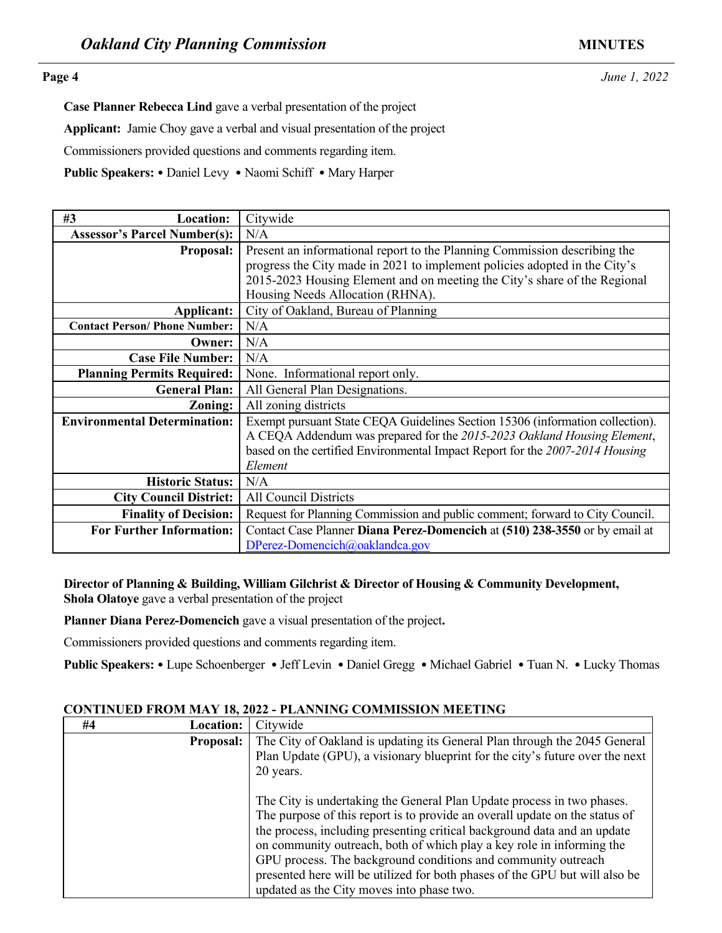**Page 4** *June 1, 2022* 

**Case Planner Rebecca Lind** gave a verbal presentation of the project **Applicant:** Jamie Choy gave a verbal and visual presentation of the project Commissioners provided questions and comments regarding item. **Public Speakers:** • Daniel Levy • Naomi Schiff • Mary Harper

| <b>Public Speakers: •</b> Daniel Levy • Naomi Schiff • Mary Harper                                                                                           |                                                                                                             |  |
|--------------------------------------------------------------------------------------------------------------------------------------------------------------|-------------------------------------------------------------------------------------------------------------|--|
| #3<br><b>Location:</b>                                                                                                                                       | Citywide                                                                                                    |  |
| <b>Assessor's Parcel Number(s):</b>                                                                                                                          | N/A                                                                                                         |  |
| Proposal:                                                                                                                                                    | Present an informational report to the Planning Commission describing the                                   |  |
|                                                                                                                                                              | progress the City made in 2021 to implement policies adopted in the City's                                  |  |
|                                                                                                                                                              | 2015-2023 Housing Element and on meeting the City's share of the Regional                                   |  |
|                                                                                                                                                              | Housing Needs Allocation (RHNA).                                                                            |  |
| Applicant:                                                                                                                                                   | City of Oakland, Bureau of Planning                                                                         |  |
| <b>Contact Person/ Phone Number:</b>                                                                                                                         | N/A                                                                                                         |  |
| Owner:                                                                                                                                                       | N/A                                                                                                         |  |
| <b>Case File Number:</b>                                                                                                                                     | N/A                                                                                                         |  |
| <b>Planning Permits Required:</b>                                                                                                                            | None. Informational report only.                                                                            |  |
| <b>General Plan:</b>                                                                                                                                         | All General Plan Designations.                                                                              |  |
| Zoning:                                                                                                                                                      | All zoning districts                                                                                        |  |
| <b>Environmental Determination:</b>                                                                                                                          | Exempt pursuant State CEQA Guidelines Section 15306 (information collection).                               |  |
|                                                                                                                                                              | A CEQA Addendum was prepared for the 2015-2023 Oakland Housing Element,                                     |  |
|                                                                                                                                                              | based on the certified Environmental Impact Report for the 2007-2014 Housing                                |  |
|                                                                                                                                                              | Element                                                                                                     |  |
| <b>Historic Status:</b>                                                                                                                                      | N/A                                                                                                         |  |
| <b>City Council District:</b>                                                                                                                                | All Council Districts                                                                                       |  |
| <b>Finality of Decision:</b>                                                                                                                                 | Request for Planning Commission and public comment; forward to City Council.                                |  |
| <b>For Further Information:</b>                                                                                                                              | Contact Case Planner Diana Perez-Domencich at (510) 238-3550 or by email at                                 |  |
|                                                                                                                                                              | DPerez-Domencich@oaklandca.gov                                                                              |  |
|                                                                                                                                                              |                                                                                                             |  |
| Director of Planning & Building, William Gilchrist & Director of Housing & Community Development,<br>Shola Olatoye gave a verbal presentation of the project |                                                                                                             |  |
|                                                                                                                                                              | Planner Diana Perez-Domencich gave a visual presentation of the project.                                    |  |
| Commissioners provided questions and comments regarding item.                                                                                                |                                                                                                             |  |
|                                                                                                                                                              | Public Speakers: • Lupe Schoenberger • Jeff Levin • Daniel Gregg • Michael Gabriel • Tuan N. • Lucky Thomas |  |
|                                                                                                                                                              |                                                                                                             |  |
|                                                                                                                                                              | <b>CONTINUED FROM MAY 18, 2022 - PLANNING COMMISSION MEETING</b>                                            |  |
| #4<br><b>Location:</b>                                                                                                                                       | Citywide                                                                                                    |  |
| Proposal:                                                                                                                                                    | The City of Oakland is updating its General Plan through the 2045 General                                   |  |
|                                                                                                                                                              | Plan Update (GPU), a visionary blueprint for the city's future over the next                                |  |

### **CONTINUED FROM MAY 18, 2022 - PLANNING COMMISSION MEETING**

| #4 | <b>Location:</b> | Citywide                                                                     |
|----|------------------|------------------------------------------------------------------------------|
|    | <b>Proposal:</b> | The City of Oakland is updating its General Plan through the 2045 General    |
|    |                  | Plan Update (GPU), a visionary blueprint for the city's future over the next |
|    |                  | 20 years.                                                                    |
|    |                  | The City is undertaking the General Plan Update process in two phases.       |
|    |                  | The purpose of this report is to provide an overall update on the status of  |
|    |                  | the process, including presenting critical background data and an update     |
|    |                  | on community outreach, both of which play a key role in informing the        |
|    |                  | GPU process. The background conditions and community outreach                |
|    |                  | presented here will be utilized for both phases of the GPU but will also be  |
|    |                  | updated as the City moves into phase two.                                    |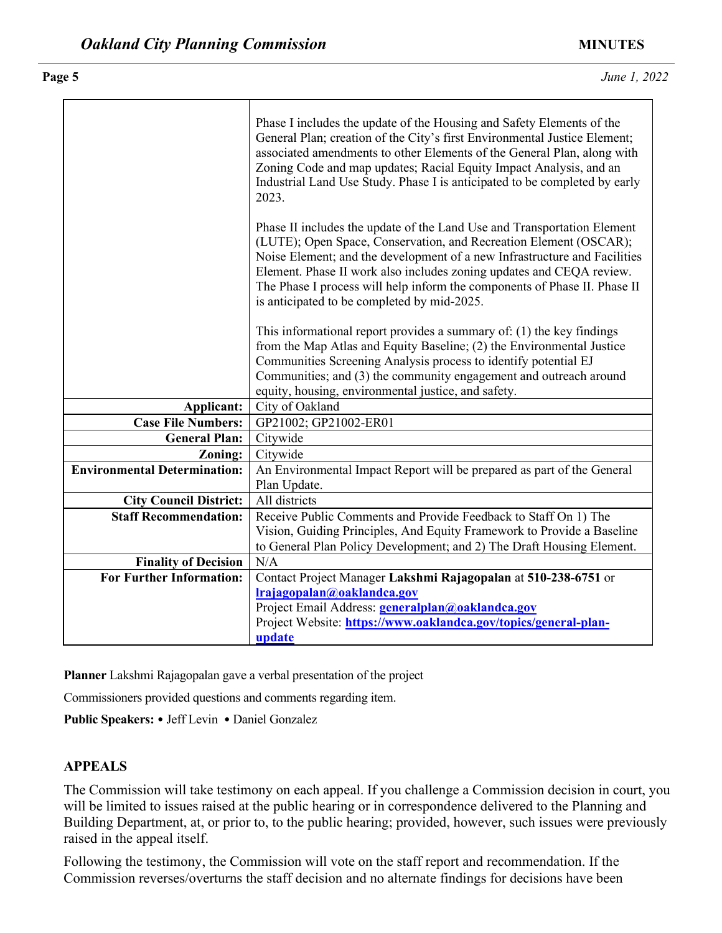| is anticipated to be completed by mid-2025.<br>Communities Screening Analysis process to identify potential EJ<br>equity, housing, environmental justice, and safety.<br>City of Oakland<br>Applicant:<br><b>Case File Numbers:</b><br>GP21002; GP21002-ER01<br><b>General Plan:</b><br>Citywide<br>Citywide<br>Zoning:<br><b>Environmental Determination:</b><br>Plan Update.<br>All districts<br><b>City Council District:</b><br><b>Staff Recommendation:</b><br>Receive Public Comments and Provide Feedback to Staff On 1) The<br>to General Plan Policy Development; and 2) The Draft Housing Element.<br><b>Finality of Decision</b><br>N/A<br><b>For Further Information:</b><br>Contact Project Manager Lakshmi Rajagopalan at 510-238-6751 or<br>Irajagopalan@oaklandca.gov<br>Project Email Address: generalplan@oaklandca.gov<br>Project Website: https://www.oaklandca.gov/topics/general-plan-<br>update<br>Planner Lakshmi Rajagopalan gave a verbal presentation of the project | Phase I includes the update of the Housing and Safety Elements of the<br>General Plan; creation of the City's first Environmental Justice Element;<br>associated amendments to other Elements of the General Plan, along with<br>Zoning Code and map updates; Racial Equity Impact Analysis, and an<br>Industrial Land Use Study. Phase I is anticipated to be completed by early<br>2023. |
|-------------------------------------------------------------------------------------------------------------------------------------------------------------------------------------------------------------------------------------------------------------------------------------------------------------------------------------------------------------------------------------------------------------------------------------------------------------------------------------------------------------------------------------------------------------------------------------------------------------------------------------------------------------------------------------------------------------------------------------------------------------------------------------------------------------------------------------------------------------------------------------------------------------------------------------------------------------------------------------------------|--------------------------------------------------------------------------------------------------------------------------------------------------------------------------------------------------------------------------------------------------------------------------------------------------------------------------------------------------------------------------------------------|
|                                                                                                                                                                                                                                                                                                                                                                                                                                                                                                                                                                                                                                                                                                                                                                                                                                                                                                                                                                                                 | Phase II includes the update of the Land Use and Transportation Element<br>(LUTE); Open Space, Conservation, and Recreation Element (OSCAR);<br>Noise Element; and the development of a new Infrastructure and Facilities<br>Element. Phase II work also includes zoning updates and CEQA review.<br>The Phase I process will help inform the components of Phase II. Phase II             |
|                                                                                                                                                                                                                                                                                                                                                                                                                                                                                                                                                                                                                                                                                                                                                                                                                                                                                                                                                                                                 | This informational report provides a summary of: $(1)$ the key findings<br>from the Map Atlas and Equity Baseline; (2) the Environmental Justice<br>Communities; and (3) the community engagement and outreach around                                                                                                                                                                      |
|                                                                                                                                                                                                                                                                                                                                                                                                                                                                                                                                                                                                                                                                                                                                                                                                                                                                                                                                                                                                 |                                                                                                                                                                                                                                                                                                                                                                                            |
|                                                                                                                                                                                                                                                                                                                                                                                                                                                                                                                                                                                                                                                                                                                                                                                                                                                                                                                                                                                                 |                                                                                                                                                                                                                                                                                                                                                                                            |
|                                                                                                                                                                                                                                                                                                                                                                                                                                                                                                                                                                                                                                                                                                                                                                                                                                                                                                                                                                                                 |                                                                                                                                                                                                                                                                                                                                                                                            |
|                                                                                                                                                                                                                                                                                                                                                                                                                                                                                                                                                                                                                                                                                                                                                                                                                                                                                                                                                                                                 |                                                                                                                                                                                                                                                                                                                                                                                            |
|                                                                                                                                                                                                                                                                                                                                                                                                                                                                                                                                                                                                                                                                                                                                                                                                                                                                                                                                                                                                 | An Environmental Impact Report will be prepared as part of the General                                                                                                                                                                                                                                                                                                                     |
|                                                                                                                                                                                                                                                                                                                                                                                                                                                                                                                                                                                                                                                                                                                                                                                                                                                                                                                                                                                                 |                                                                                                                                                                                                                                                                                                                                                                                            |
|                                                                                                                                                                                                                                                                                                                                                                                                                                                                                                                                                                                                                                                                                                                                                                                                                                                                                                                                                                                                 | Vision, Guiding Principles, And Equity Framework to Provide a Baseline                                                                                                                                                                                                                                                                                                                     |
|                                                                                                                                                                                                                                                                                                                                                                                                                                                                                                                                                                                                                                                                                                                                                                                                                                                                                                                                                                                                 |                                                                                                                                                                                                                                                                                                                                                                                            |
|                                                                                                                                                                                                                                                                                                                                                                                                                                                                                                                                                                                                                                                                                                                                                                                                                                                                                                                                                                                                 |                                                                                                                                                                                                                                                                                                                                                                                            |
|                                                                                                                                                                                                                                                                                                                                                                                                                                                                                                                                                                                                                                                                                                                                                                                                                                                                                                                                                                                                 |                                                                                                                                                                                                                                                                                                                                                                                            |
|                                                                                                                                                                                                                                                                                                                                                                                                                                                                                                                                                                                                                                                                                                                                                                                                                                                                                                                                                                                                 |                                                                                                                                                                                                                                                                                                                                                                                            |
|                                                                                                                                                                                                                                                                                                                                                                                                                                                                                                                                                                                                                                                                                                                                                                                                                                                                                                                                                                                                 |                                                                                                                                                                                                                                                                                                                                                                                            |
| Commissioners provided questions and comments regarding item.                                                                                                                                                                                                                                                                                                                                                                                                                                                                                                                                                                                                                                                                                                                                                                                                                                                                                                                                   |                                                                                                                                                                                                                                                                                                                                                                                            |

# **APPEALS**

The Commission will take testimony on each appeal. If you challenge a Commission decision in court, you will be limited to issues raised at the public hearing or in correspondence delivered to the Planning and Building Department, at, or prior to, to the public hearing; provided, however, such issues were previously raised in the appeal itself.

Following the testimony, the Commission will vote on the staff report and recommendation. If the Commission reverses/overturns the staff decision and no alternate findings for decisions have been